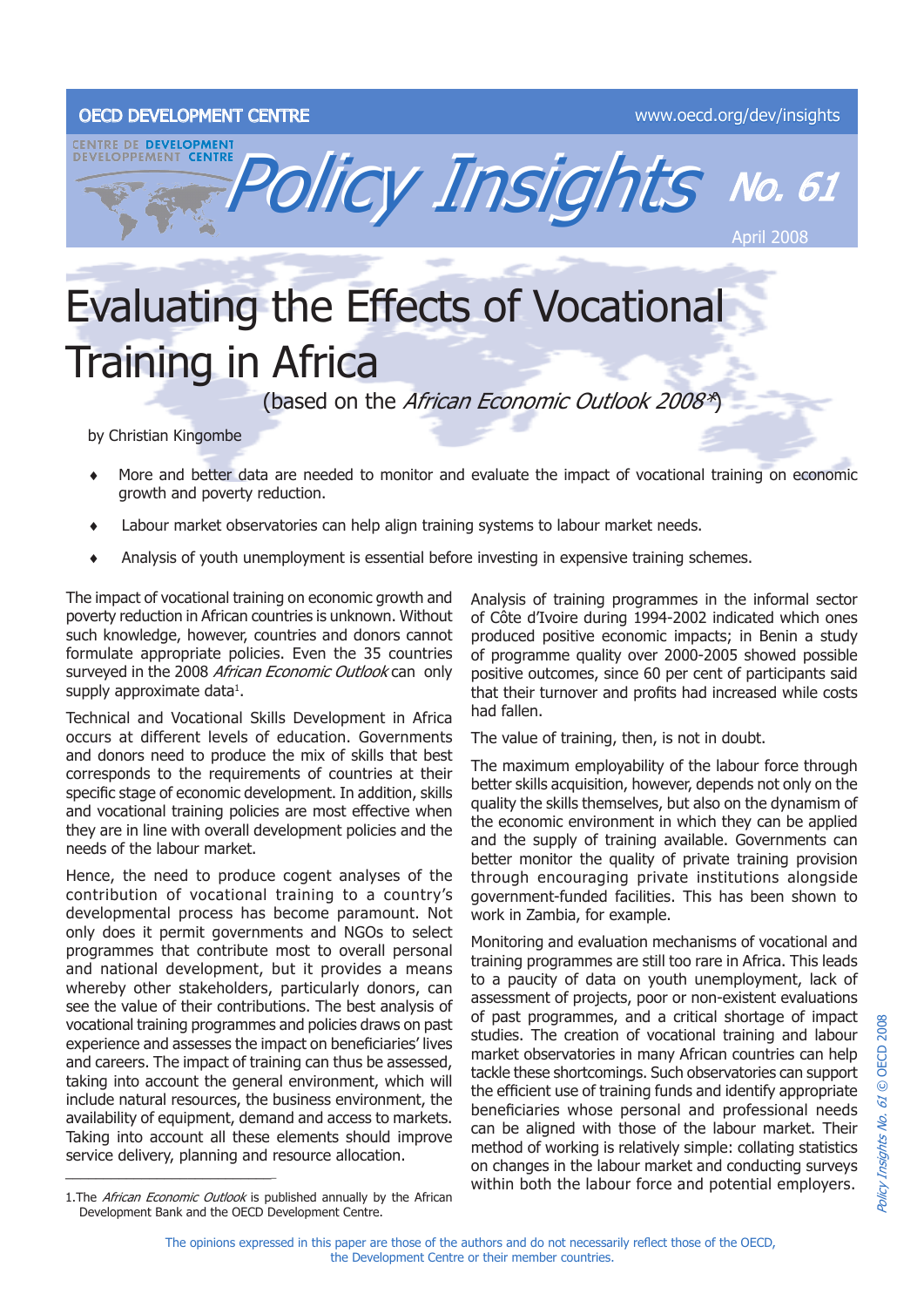## OECD DEVELOPMENT CENTRE www.oecd.org/dev/insights



## Evaluating the Effects of Vocational Training in Africa

(based on the African Economic Outlook 2008\*)

by Christian Kingombe

- More and better data are needed to monitor and evaluate the impact of vocational training on economic growth and poverty reduction. ♦
- Labour market observatories can help align training systems to labour market needs. ♦
- Analysis of youth unemployment is essential before investing in expensive training schemes. ♦

The impact of vocational training on economic growth and poverty reduction in African countries is unknown. Without such knowledge, however, countries and donors cannot formulate appropriate policies. Even the 35 countries surveyed in the 2008 African Economic Outlook can only supply approximate data $^1$ .

Technical and Vocational Skills Development in Africa occurs at different levels of education. Governments and donors need to produce the mix of skills that best corresponds to the requirements of countries at their specific stage of economic development. In addition, skills and vocational training policies are most effective when they are in line with overall development policies and the needs of the labour market.

Hence, the need to produce cogent analyses of the contribution of vocational training to a country's developmental process has become paramount. Not only does it permit governments and NGOs to select programmes that contribute most to overall personal and national development, but it provides a means whereby other stakeholders, particularly donors, can see the value of their contributions. The best analysis of vocational training programmes and policies draws on past experience and assesses the impact on beneficiaries' lives and careers. The impact of training can thus be assessed, taking into account the general environment, which will include natural resources, the business environment, the availability of equipment, demand and access to markets. Taking into account all these elements should improve service delivery, planning and resource allocation. \_\_\_\_\_\_\_\_\_\_\_\_\_\_\_\_\_\_\_\_\_\_\_\_\_\_\_\_

Analysis of training programmes in the informal sector of Côte d'Ivoire during 1994-2002 indicated which ones produced positive economic impacts; in Benin a study of programme quality over 2000-2005 showed possible positive outcomes, since 60 per cent of participants said that their turnover and profits had increased while costs had fallen.

The value of training, then, is not in doubt.

The maximum employability of the labour force through better skills acquisition, however, depends not only on the quality the skills themselves, but also on the dynamism of the economic environment in which they can be applied and the supply of training available. Governments can better monitor the quality of private training provision through encouraging private institutions alongside government-funded facilities. This has been shown to work in Zambia, for example.

Monitoring and evaluation mechanisms of vocational and training programmes are still too rare in Africa. This leads to a paucity of data on youth unemployment, lack of assessment of projects, poor or non-existent evaluations of past programmes, and a critical shortage of impact studies. The creation of vocational training and labour market observatories in many African countries can help tackle these shortcomings. Such observatories can support the efficient use of training funds and identify appropriate beneficiaries whose personal and professional needs can be aligned with those of the labour market. Their method of working is relatively simple: collating statistics on changes in the labour market and conducting surveys within both the labour force and potential employers.

<sup>2008</sup> Policy Insights No. 61 © OECD 2008 OECD Policy Insights No. 61 ©

<sup>1.</sup>The African Economic Outlook is published annually by the African Development Bank and the OECD Development Centre.